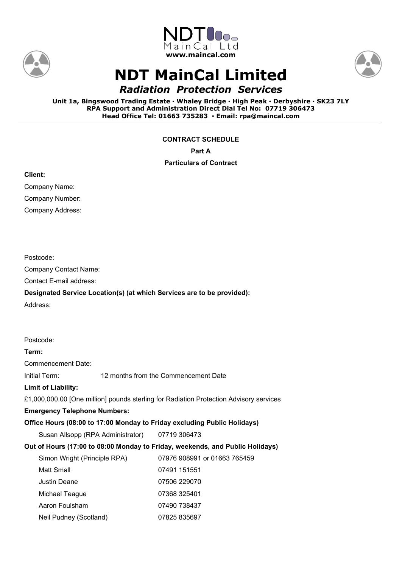





# **NDT MainCal Limited**

*Radiation Protection Services*

**Unit 1a, Bingswood Trading Estate ▪ Whaley Bridge ▪ High Peak ▪ Derbyshire ▪ SK23 7LY RPA Support and Administration Direct Dial Tel No: 07719 306473 Head Office Tel: 01663 735283 ▪ Email: rpa@maincal.com**

**CONTRACT SCHEDULE**

**Part A**

## **Particulars of Contract**

**Client:**

Postcode:

Address:

Company Name:

Company Number:

Company Address:

Company Contact Name: Contact E-mail address:

| 12 months from the Commencement Date                                                   |                                                        |  |  |  |
|----------------------------------------------------------------------------------------|--------------------------------------------------------|--|--|--|
|                                                                                        |                                                        |  |  |  |
| £1,000,000.00 [One million] pounds sterling for Radiation Protection Advisory services |                                                        |  |  |  |
| <b>Emergency Telephone Numbers:</b>                                                    |                                                        |  |  |  |
| Office Hours (08:00 to 17:00 Monday to Friday excluding Public Holidays)               |                                                        |  |  |  |
| Susan Allsopp (RPA Administrator) 07719 306473                                         |                                                        |  |  |  |
| Out of Hours (17:00 to 08:00 Monday to Friday, weekends, and Public Holidays)          |                                                        |  |  |  |
|                                                                                        | 07976 908991 or 01663 765459                           |  |  |  |
|                                                                                        | 07491 151551                                           |  |  |  |
|                                                                                        | 07506 229070                                           |  |  |  |
|                                                                                        | 07368 325401                                           |  |  |  |
|                                                                                        | 07490 738437                                           |  |  |  |
|                                                                                        | 07825 835697                                           |  |  |  |
|                                                                                        | Simon Wright (Principle RPA)<br>Neil Pudney (Scotland) |  |  |  |

**Designated Service Location(s) (at which Services are to be provided):**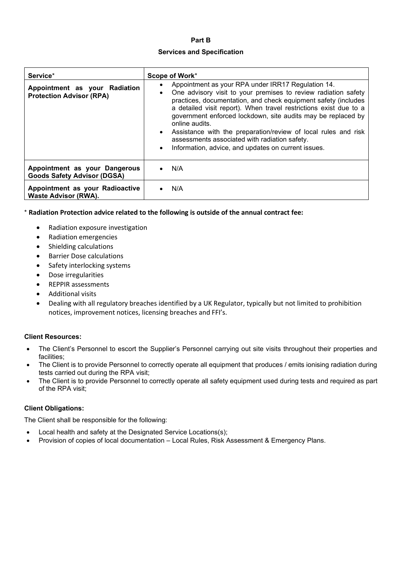# **Part B**

### **Services and Specification**

| Service*                                                            | Scope of Work*                                                                                                                                                                                                                                                                                                                                                                                                                                                                                                                                                      |  |
|---------------------------------------------------------------------|---------------------------------------------------------------------------------------------------------------------------------------------------------------------------------------------------------------------------------------------------------------------------------------------------------------------------------------------------------------------------------------------------------------------------------------------------------------------------------------------------------------------------------------------------------------------|--|
| Appointment as your Radiation<br><b>Protection Advisor (RPA)</b>    | Appointment as your RPA under IRR17 Regulation 14.<br>٠<br>One advisory visit to your premises to review radiation safety<br>$\bullet$<br>practices, documentation, and check equipment safety (includes<br>a detailed visit report). When travel restrictions exist due to a<br>government enforced lockdown, site audits may be replaced by<br>online audits.<br>Assistance with the preparation/review of local rules and risk<br>$\bullet$<br>assessments associated with radiation safety.<br>Information, advice, and updates on current issues.<br>$\bullet$ |  |
| Appointment as your Dangerous<br><b>Goods Safety Advisor (DGSA)</b> | N/A<br>$\bullet$                                                                                                                                                                                                                                                                                                                                                                                                                                                                                                                                                    |  |
| Appointment as your Radioactive<br><b>Waste Advisor (RWA).</b>      | N/A                                                                                                                                                                                                                                                                                                                                                                                                                                                                                                                                                                 |  |

\* **Radiation Protection advice related to the following is outside of the annual contract fee:**

- Radiation exposure investigation
- Radiation emergencies
- Shielding calculations
- Barrier Dose calculations
- Safety interlocking systems
- Dose irregularities
- REPPIR assessments
- Additional visits
- Dealing with all regulatory breaches identified by a UK Regulator, typically but not limited to prohibition notices, improvement notices, licensing breaches and FFI's.

#### **Client Resources:**

- The Client's Personnel to escort the Supplier's Personnel carrying out site visits throughout their properties and facilities;
- The Client is to provide Personnel to correctly operate all equipment that produces / emits ionising radiation during tests carried out during the RPA visit;
- The Client is to provide Personnel to correctly operate all safety equipment used during tests and required as part of the RPA visit;

#### **Client Obligations:**

The Client shall be responsible for the following:

- Local health and safety at the Designated Service Locations(s);
- Provision of copies of local documentation Local Rules, Risk Assessment & Emergency Plans.